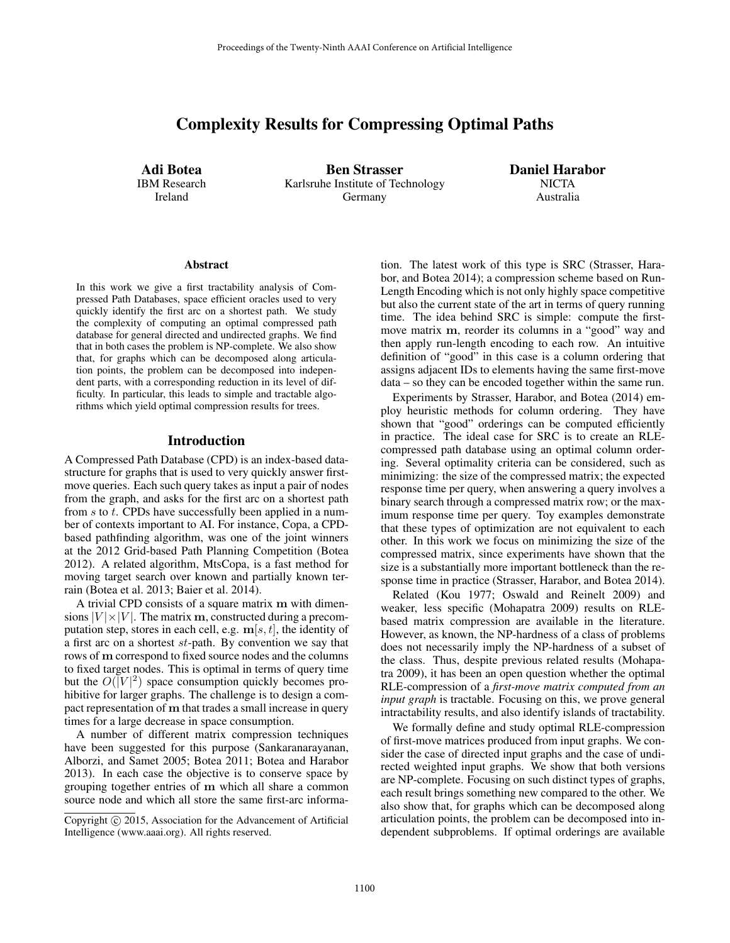# Complexity Results for Compressing Optimal Paths

Adi Botea IBM Research Ireland

Ben Strasser Karlsruhe Institute of Technology Germany

Daniel Harabor **NICTA** Australia

#### **Abstract**

In this work we give a first tractability analysis of Compressed Path Databases, space efficient oracles used to very quickly identify the first arc on a shortest path. We study the complexity of computing an optimal compressed path database for general directed and undirected graphs. We find that in both cases the problem is NP-complete. We also show that, for graphs which can be decomposed along articulation points, the problem can be decomposed into independent parts, with a corresponding reduction in its level of difficulty. In particular, this leads to simple and tractable algorithms which yield optimal compression results for trees.

### Introduction

A Compressed Path Database (CPD) is an index-based datastructure for graphs that is used to very quickly answer firstmove queries. Each such query takes as input a pair of nodes from the graph, and asks for the first arc on a shortest path from  $s$  to  $t$ . CPDs have successfully been applied in a number of contexts important to AI. For instance, Copa, a CPDbased pathfinding algorithm, was one of the joint winners at the 2012 Grid-based Path Planning Competition (Botea 2012). A related algorithm, MtsCopa, is a fast method for moving target search over known and partially known terrain (Botea et al. 2013; Baier et al. 2014).

A trivial CPD consists of a square matrix m with dimensions  $|V| \times |V|$ . The matrix m, constructed during a precomputation step, stores in each cell, e.g.  $\mathbf{m}[s, t]$ , the identity of a first arc on a shortest  $st$ -path. By convention we say that rows of m correspond to fixed source nodes and the columns to fixed target nodes. This is optimal in terms of query time but the  $O(|V|^2)$  space consumption quickly becomes prohibitive for larger graphs. The challenge is to design a compact representation of m that trades a small increase in query times for a large decrease in space consumption.

A number of different matrix compression techniques have been suggested for this purpose (Sankaranarayanan, Alborzi, and Samet 2005; Botea 2011; Botea and Harabor 2013). In each case the objective is to conserve space by grouping together entries of m which all share a common source node and which all store the same first-arc information. The latest work of this type is SRC (Strasser, Harabor, and Botea 2014); a compression scheme based on Run-Length Encoding which is not only highly space competitive but also the current state of the art in terms of query running time. The idea behind SRC is simple: compute the firstmove matrix m, reorder its columns in a "good" way and then apply run-length encoding to each row. An intuitive definition of "good" in this case is a column ordering that assigns adjacent IDs to elements having the same first-move data – so they can be encoded together within the same run.

Experiments by Strasser, Harabor, and Botea (2014) employ heuristic methods for column ordering. They have shown that "good" orderings can be computed efficiently in practice. The ideal case for SRC is to create an RLEcompressed path database using an optimal column ordering. Several optimality criteria can be considered, such as minimizing: the size of the compressed matrix; the expected response time per query, when answering a query involves a binary search through a compressed matrix row; or the maximum response time per query. Toy examples demonstrate that these types of optimization are not equivalent to each other. In this work we focus on minimizing the size of the compressed matrix, since experiments have shown that the size is a substantially more important bottleneck than the response time in practice (Strasser, Harabor, and Botea 2014).

Related (Kou 1977; Oswald and Reinelt 2009) and weaker, less specific (Mohapatra 2009) results on RLEbased matrix compression are available in the literature. However, as known, the NP-hardness of a class of problems does not necessarily imply the NP-hardness of a subset of the class. Thus, despite previous related results (Mohapatra 2009), it has been an open question whether the optimal RLE-compression of a *first-move matrix computed from an input graph* is tractable. Focusing on this, we prove general intractability results, and also identify islands of tractability.

We formally define and study optimal RLE-compression of first-move matrices produced from input graphs. We consider the case of directed input graphs and the case of undirected weighted input graphs. We show that both versions are NP-complete. Focusing on such distinct types of graphs, each result brings something new compared to the other. We also show that, for graphs which can be decomposed along articulation points, the problem can be decomposed into independent subproblems. If optimal orderings are available

Copyright  $\odot$  2015, Association for the Advancement of Artificial Intelligence (www.aaai.org). All rights reserved.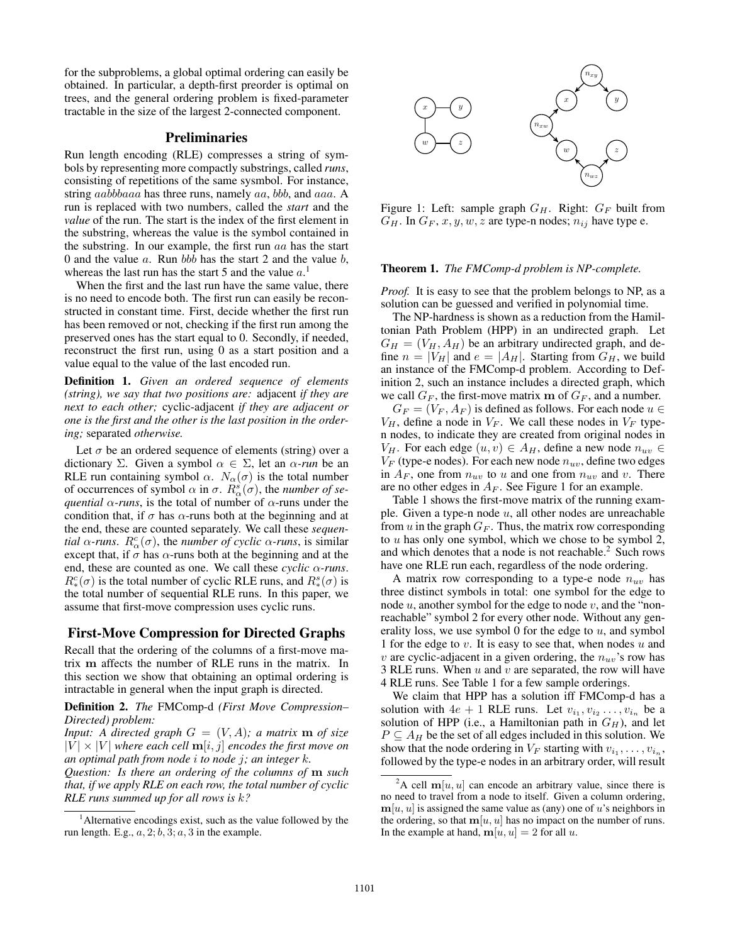for the subproblems, a global optimal ordering can easily be obtained. In particular, a depth-first preorder is optimal on trees, and the general ordering problem is fixed-parameter tractable in the size of the largest 2-connected component.

# Preliminaries

Run length encoding (RLE) compresses a string of symbols by representing more compactly substrings, called *runs*, consisting of repetitions of the same sysmbol. For instance, string *aabbbaaa* has three runs, namely *aa*, *bbb*, and *aaa*. A run is replaced with two numbers, called the *start* and the *value* of the run. The start is the index of the first element in the substring, whereas the value is the symbol contained in the substring. In our example, the first run  $aa$  has the start 0 and the value  $a$ . Run bbb has the start 2 and the value  $b$ , whereas the last run has the start 5 and the value  $a<sup>1</sup>$ 

When the first and the last run have the same value, there is no need to encode both. The first run can easily be reconstructed in constant time. First, decide whether the first run has been removed or not, checking if the first run among the preserved ones has the start equal to 0. Secondly, if needed, reconstruct the first run, using 0 as a start position and a value equal to the value of the last encoded run.

Definition 1. *Given an ordered sequence of elements (string), we say that two positions are:* adjacent *if they are next to each other;* cyclic-adjacent *if they are adjacent or one is the first and the other is the last position in the ordering;* separated *otherwise.*

Let  $\sigma$  be an ordered sequence of elements (string) over a dictionary Σ. Given a symbol  $\alpha \in \Sigma$ , let an  $\alpha$ -run be an RLE run containing symbol  $\alpha$ .  $N_{\alpha}(\sigma)$  is the total number of occurrences of symbol  $\alpha$  in  $\sigma$ .  $\overline{R^s_{\alpha}}(\sigma)$ , the *number of sequential*  $\alpha$ -runs, is the total of number of  $\alpha$ -runs under the condition that, if  $\sigma$  has  $\alpha$ -runs both at the beginning and at the end, these are counted separately. We call these *sequential*  $\alpha$ *-runs.*  $R^c_{\alpha}(\sigma)$ , the *number of cyclic*  $\alpha$ *-runs*, is similar except that, if  $\sigma$  has  $\alpha$ -runs both at the beginning and at the end, these are counted as one. We call these *cyclic* α*-runs*.  $R_*^c(\sigma)$  is the total number of cyclic RLE runs, and  $R_*^s(\sigma)$  is the total number of sequential RLE runs. In this paper, we assume that first-move compression uses cyclic runs.

#### First-Move Compression for Directed Graphs

Recall that the ordering of the columns of a first-move matrix m affects the number of RLE runs in the matrix. In this section we show that obtaining an optimal ordering is intractable in general when the input graph is directed.

Definition 2. *The* FMComp-d *(First Move Compression– Directed) problem:*

*Input: A directed graph*  $G = (V, A)$ *; a matrix* **m** *of size*  $|V| \times |V|$  where each cell  $\mathbf{m}[i, j]$  encodes the first move on *an optimal path from node* i *to node* j*; an integer* k*.*

*Question: Is there an ordering of the columns of* m *such that, if we apply RLE on each row, the total number of cyclic RLE runs summed up for all rows is* k*?*



Figure 1: Left: sample graph  $G_H$ . Right:  $G_F$  built from  $G_H$ . In  $G_F$ , x, y, w, z are type-n nodes;  $n_{ij}$  have type e.

#### Theorem 1. *The FMComp-d problem is NP-complete.*

*Proof.* It is easy to see that the problem belongs to NP, as a solution can be guessed and verified in polynomial time.

The NP-hardness is shown as a reduction from the Hamiltonian Path Problem (HPP) in an undirected graph. Let  $G_H = (V_H, A_H)$  be an arbitrary undirected graph, and define  $n = |V_H|$  and  $e = |A_H|$ . Starting from  $G_H$ , we build an instance of the FMComp-d problem. According to Definition 2, such an instance includes a directed graph, which we call  $G_F$ , the first-move matrix m of  $G_F$ , and a number.

 $G_F = (V_F, A_F)$  is defined as follows. For each node  $u \in$  $V_H$ , define a node in  $V_F$ . We call these nodes in  $V_F$  typen nodes, to indicate they are created from original nodes in  $V_H$ . For each edge  $(u, v) \in A_H$ , define a new node  $n_{uv} \in A$  $V_F$  (type-e nodes). For each new node  $n_{uv}$ , define two edges in  $A_F$ , one from  $n_{uv}$  to u and one from  $n_{uv}$  and v. There are no other edges in  $A_F$ . See Figure 1 for an example.

Table 1 shows the first-move matrix of the running example. Given a type-n node  $u$ , all other nodes are unreachable from  $u$  in the graph  $G_F$ . Thus, the matrix row corresponding to u has only one symbol, which we chose to be symbol 2, and which denotes that a node is not reachable.<sup>2</sup> Such rows have one RLE run each, regardless of the node ordering.

A matrix row corresponding to a type-e node  $n_{uv}$  has three distinct symbols in total: one symbol for the edge to node  $u$ , another symbol for the edge to node  $v$ , and the "nonreachable" symbol 2 for every other node. Without any generality loss, we use symbol 0 for the edge to  $u$ , and symbol 1 for the edge to  $v$ . It is easy to see that, when nodes  $u$  and v are cyclic-adjacent in a given ordering, the  $n_{uv}$ 's row has 3 RLE runs. When  $u$  and  $v$  are separated, the row will have 4 RLE runs. See Table 1 for a few sample orderings.

We claim that HPP has a solution iff FMComp-d has a solution with  $4e + 1$  RLE runs. Let  $v_{i_1}, v_{i_2} \ldots, v_{i_n}$  be a solution of HPP (i.e., a Hamiltonian path in  $G_H$ ), and let  $P \subseteq A_H$  be the set of all edges included in this solution. We show that the node ordering in  $V_F$  starting with  $v_{i_1}, \ldots, v_{i_n}$ , followed by the type-e nodes in an arbitrary order, will result

<sup>&</sup>lt;sup>1</sup> Alternative encodings exist, such as the value followed by the run length. E.g.,  $a$ ,  $2$ ;  $b$ ,  $3$ ;  $a$ ,  $3$  in the example.

<sup>&</sup>lt;sup>2</sup>A cell  $m[u, u]$  can encode an arbitrary value, since there is no need to travel from a node to itself. Given a column ordering,  $m[u, u]$  is assigned the same value as (any) one of u's neighbors in the ordering, so that  $m[u, u]$  has no impact on the number of runs. In the example at hand,  $m[u, u] = 2$  for all u.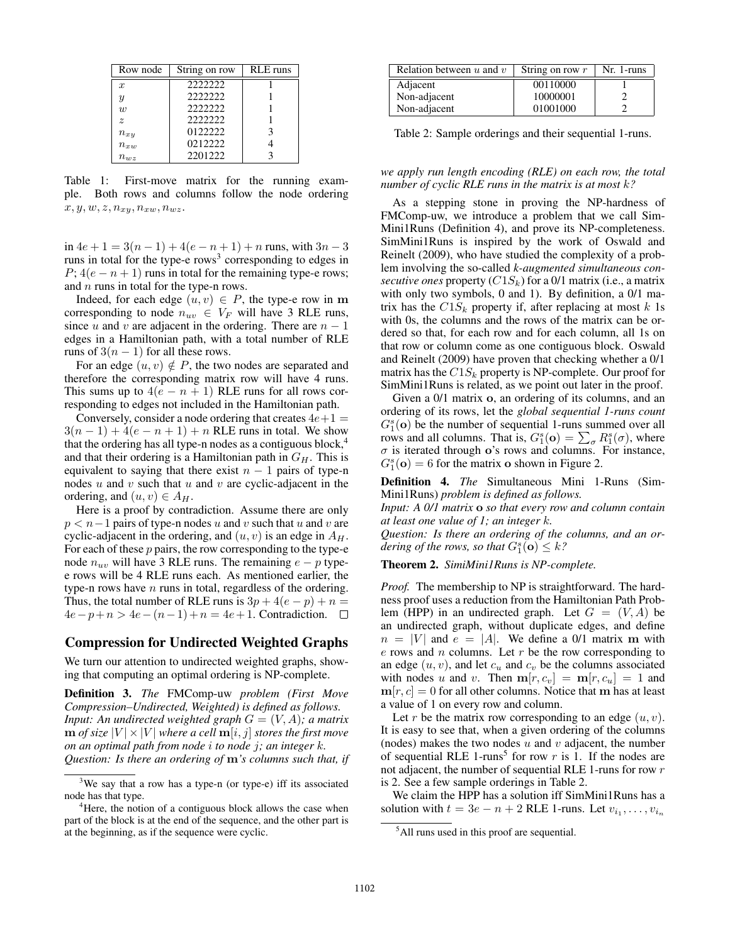| Row node                  | String on row | <b>RLE</b> runs |
|---------------------------|---------------|-----------------|
| $\boldsymbol{x}$          | 2222222       |                 |
| $\boldsymbol{\mathit{u}}$ | 2222222       |                 |
| $\eta$                    | 2222222       |                 |
| $\tilde{z}$               | 2222222       |                 |
| $n_{xy}$                  | 0122222       |                 |
| $n_{xw}$                  | 0212222       |                 |
| $n_{wz}$                  | 2201222       |                 |

Table 1: First-move matrix for the running example. Both rows and columns follow the node ordering  $x, y, w, z, n_{xy}, n_{xw}, n_{wz}.$ 

in  $4e + 1 = 3(n - 1) + 4(e - n + 1) + n$  runs, with  $3n - 3$ runs in total for the type-e rows<sup>3</sup> corresponding to edges in  $P$ ; 4( $e - n + 1$ ) runs in total for the remaining type-e rows; and  $n$  runs in total for the type-n rows.

Indeed, for each edge  $(u, v) \in P$ , the type-e row in m corresponding to node  $n_{uv} \in V_F$  will have 3 RLE runs, since u and v are adjacent in the ordering. There are  $n - 1$ edges in a Hamiltonian path, with a total number of RLE runs of  $3(n - 1)$  for all these rows.

For an edge  $(u, v) \notin P$ , the two nodes are separated and therefore the corresponding matrix row will have 4 runs. This sums up to  $4(e - n + 1)$  RLE runs for all rows corresponding to edges not included in the Hamiltonian path.

Conversely, consider a node ordering that creates  $4e+1 =$  $3(n-1) + 4(e - n + 1) + n$  RLE runs in total. We show that the ordering has all type-n nodes as a contiguous block,<sup>4</sup> and that their ordering is a Hamiltonian path in  $G_H$ . This is equivalent to saying that there exist  $n - 1$  pairs of type-n nodes  $u$  and  $v$  such that  $u$  and  $v$  are cyclic-adjacent in the ordering, and  $(u, v) \in A_H$ .

Here is a proof by contradiction. Assume there are only  $p < n-1$  pairs of type-n nodes u and v such that u and v are cyclic-adjacent in the ordering, and  $(u, v)$  is an edge in  $A<sub>H</sub>$ . For each of these  $p$  pairs, the row corresponding to the type-e node  $n_{uv}$  will have 3 RLE runs. The remaining  $e - p$  typee rows will be 4 RLE runs each. As mentioned earlier, the type-n rows have  $n$  runs in total, regardless of the ordering. Thus, the total number of RLE runs is  $3p + 4(e - p) + n =$  $4e-p+n > 4e-(n-1)+n = 4e+1$ . Contradiction. □

# Compression for Undirected Weighted Graphs

We turn our attention to undirected weighted graphs, showing that computing an optimal ordering is NP-complete.

Definition 3. *The* FMComp-uw *problem (First Move Compression–Undirected, Weighted) is defined as follows. Input: An undirected weighted graph*  $G = (V, A)$ *; a matrix*  $\mathbf{m}$  *of size*  $|V| \times |V|$  *where a cell*  $\mathbf{m}[i, j]$  *stores the first move on an optimal path from node* i *to node* j*; an integer* k*. Question: Is there an ordering of* m*'s columns such that, if*

| Relation between $u$ and $v$ | String on row $r$ | Nr. 1-runs |
|------------------------------|-------------------|------------|
| Adjacent                     | 00110000          |            |
| Non-adjacent                 | 10000001          |            |
| Non-adjacent                 | 01001000          |            |

Table 2: Sample orderings and their sequential 1-runs.

#### *we apply run length encoding (RLE) on each row, the total number of cyclic RLE runs in the matrix is at most* k*?*

As a stepping stone in proving the NP-hardness of FMComp-uw, we introduce a problem that we call Sim-Mini1Runs (Definition 4), and prove its NP-completeness. SimMini1Runs is inspired by the work of Oswald and Reinelt (2009), who have studied the complexity of a problem involving the so-called *k-augmented simultaneous consecutive ones* property  $(C1S_k)$  for a 0/1 matrix (i.e., a matrix with only two symbols, 0 and 1). By definition, a 0/1 matrix has the  $C1S_k$  property if, after replacing at most k 1s with 0s, the columns and the rows of the matrix can be ordered so that, for each row and for each column, all 1s on that row or column come as one contiguous block. Oswald and Reinelt (2009) have proven that checking whether a 0/1 matrix has the  $C1S_k$  property is NP-complete. Our proof for SimMini1Runs is related, as we point out later in the proof.

Given a 0/1 matrix o, an ordering of its columns, and an ordering of its rows, let the *global sequential 1-runs count*  $G_1^s(\mathbf{o})$  be the number of sequential 1-runs summed over all rows and all columns. That is,  $G_1^s(\mathbf{o}) = \sum_{\sigma} R_1^s(\sigma)$ , where  $\sigma$  is iterated through o's rows and columns. For instance,  $G_1^s(\mathbf{o}) = 6$  for the matrix **o** shown in Figure 2.

Definition 4. *The* Simultaneous Mini 1-Runs (Sim-Mini1Runs) *problem is defined as follows.*

*Input: A 0/1 matrix* o *so that every row and column contain at least one value of 1; an integer* k*.*

*Question: Is there an ordering of the columns, and an or*dering of the rows, so that  $G_1^s(\mathbf{o}) \leq k$ ?

Theorem 2. *SimiMini1Runs is NP-complete.*

*Proof.* The membership to NP is straightforward. The hardness proof uses a reduction from the Hamiltonian Path Problem (HPP) in an undirected graph. Let  $G = (V, A)$  be an undirected graph, without duplicate edges, and define  $n = |V|$  and  $e = |A|$ . We define a 0/1 matrix m with  $e$  rows and  $n$  columns. Let  $r$  be the row corresponding to an edge  $(u, v)$ , and let  $c<sub>u</sub>$  and  $c<sub>v</sub>$  be the columns associated with nodes u and v. Then  $\mathbf{m}[r, c_v] = \mathbf{m}[r, c_u] = 1$  and  $m[r, c] = 0$  for all other columns. Notice that m has at least a value of 1 on every row and column.

Let r be the matrix row corresponding to an edge  $(u, v)$ . It is easy to see that, when a given ordering of the columns (nodes) makes the two nodes  $u$  and  $v$  adjacent, the number of sequential RLE 1-runs<sup>5</sup> for row  $r$  is 1. If the nodes are not adjacent, the number of sequential RLE 1-runs for row r is 2. See a few sample orderings in Table 2.

We claim the HPP has a solution iff SimMini1Runs has a solution with  $t = 3e - n + 2$  RLE 1-runs. Let  $v_{i_1}, \ldots, v_{i_n}$ 

 $3$ We say that a row has a type-n (or type-e) iff its associated node has that type.

<sup>&</sup>lt;sup>4</sup>Here, the notion of a contiguous block allows the case when part of the block is at the end of the sequence, and the other part is at the beginning, as if the sequence were cyclic.

<sup>&</sup>lt;sup>5</sup>All runs used in this proof are sequential.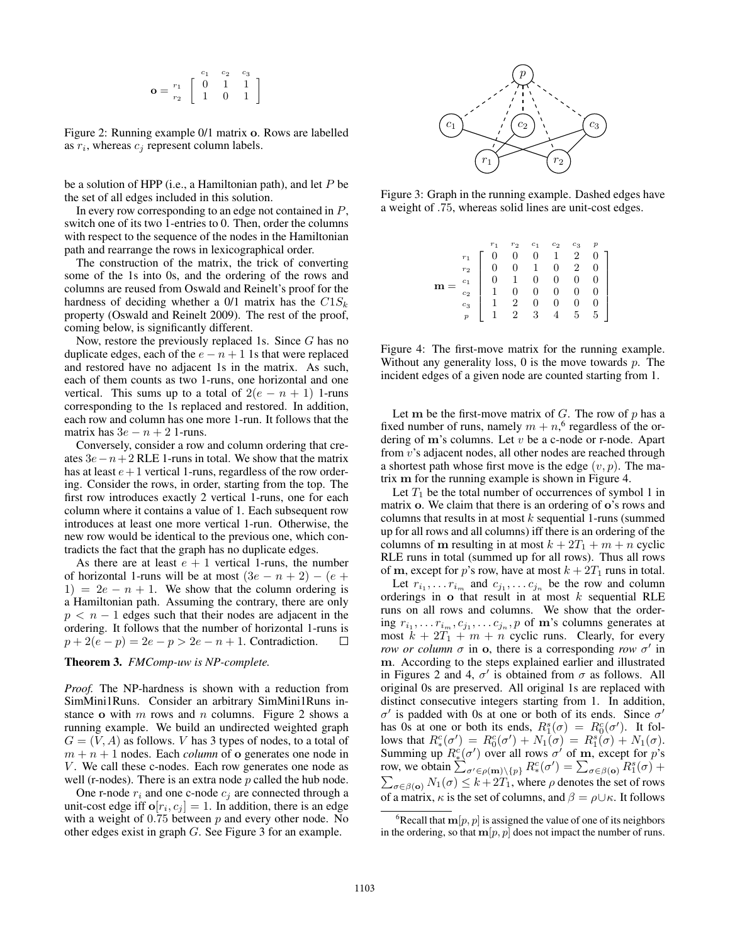$$
\mathbf{o} = \frac{r_1}{r_2} \left[ \begin{array}{rrr} c_1 & c_2 & c_3 \\ 0 & 1 & 1 \\ 1 & 0 & 1 \end{array} \right]
$$

Figure 2: Running example 0/1 matrix o. Rows are labelled as  $r_i$ , whereas  $c_j$  represent column labels.

be a solution of HPP (i.e., a Hamiltonian path), and let  $P$  be the set of all edges included in this solution.

In every row corresponding to an edge not contained in  $P$ , switch one of its two 1-entries to 0. Then, order the columns with respect to the sequence of the nodes in the Hamiltonian path and rearrange the rows in lexicographical order.

The construction of the matrix, the trick of converting some of the 1s into 0s, and the ordering of the rows and columns are reused from Oswald and Reinelt's proof for the hardness of deciding whether a 0/1 matrix has the  $C1S_k$ property (Oswald and Reinelt 2009). The rest of the proof, coming below, is significantly different.

Now, restore the previously replaced 1s. Since  $G$  has no duplicate edges, each of the  $e - n + 1$  1s that were replaced and restored have no adjacent 1s in the matrix. As such, each of them counts as two 1-runs, one horizontal and one vertical. This sums up to a total of  $2(e - n + 1)$  1-runs corresponding to the 1s replaced and restored. In addition, each row and column has one more 1-run. It follows that the matrix has  $3e - n + 2$  1-runs.

Conversely, consider a row and column ordering that creates  $3e - n + 2$  RLE 1-runs in total. We show that the matrix has at least  $e+1$  vertical 1-runs, regardless of the row ordering. Consider the rows, in order, starting from the top. The first row introduces exactly 2 vertical 1-runs, one for each column where it contains a value of 1. Each subsequent row introduces at least one more vertical 1-run. Otherwise, the new row would be identical to the previous one, which contradicts the fact that the graph has no duplicate edges.

As there are at least  $e + 1$  vertical 1-runs, the number of horizontal 1-runs will be at most  $(3e - n + 2) - (e +$ 1) =  $2e - n + 1$ . We show that the column ordering is a Hamiltonian path. Assuming the contrary, there are only  $p < n - 1$  edges such that their nodes are adjacent in the ordering. It follows that the number of horizontal 1-runs is  $p + 2(e - p) = 2e - p > 2e - n + 1$ . Contradiction.  $\Box$ 

## Theorem 3. *FMComp-uw is NP-complete.*

*Proof.* The NP-hardness is shown with a reduction from SimMini1Runs. Consider an arbitrary SimMini1Runs instance o with  $m$  rows and  $n$  columns. Figure 2 shows a running example. We build an undirected weighted graph  $G = (V, A)$  as follows. V has 3 types of nodes, to a total of  $m + n + 1$  nodes. Each *column* of **o** generates one node in  $V$ . We call these c-nodes. Each row generates one node as well (r-nodes). There is an extra node  $p$  called the hub node.

One r-node  $r_i$  and one c-node  $c_j$  are connected through a unit-cost edge iff  $o[r_i, c_j] = 1$ . In addition, there is an edge with a weight of  $0.75$  between  $p$  and every other node. No other edges exist in graph G. See Figure 3 for an example.



Figure 3: Graph in the running example. Dashed edges have a weight of .75, whereas solid lines are unit-cost edges.

|  |                | $r_{\Omega}$                | $_{c_1}$                | $^{c_2}$ | $^{c_3}$ |   |  |
|--|----------------|-----------------------------|-------------------------|----------|----------|---|--|
|  | $r_1$          |                             | 0                       | 1        | 2        |   |  |
|  | r <sub>2</sub> |                             | 1                       |          | 2        |   |  |
|  | c <sub>1</sub> |                             | $\overline{0}$          |          | 0        |   |  |
|  | $^{c_2}$       |                             | $\overline{0}$          |          | 0        |   |  |
|  | $_{c_3}$       | $\mathcal{D}_{\mathcal{L}}$ | $\overline{0}$          |          | 0        |   |  |
|  | p              | າ                           | $\overline{\mathbf{3}}$ |          | h        | 5 |  |

Figure 4: The first-move matrix for the running example. Without any generality loss,  $0$  is the move towards  $p$ . The incident edges of a given node are counted starting from 1.

Let m be the first-move matrix of  $G$ . The row of  $p$  has a fixed number of runs, namely  $m + n$ , <sup>6</sup> regardless of the ordering of  $m$ 's columns. Let  $v$  be a c-node or r-node. Apart from v's adjacent nodes, all other nodes are reached through a shortest path whose first move is the edge  $(v, p)$ . The matrix m for the running example is shown in Figure 4.

Let  $T_1$  be the total number of occurrences of symbol 1 in matrix **o**. We claim that there is an ordering of **o**'s rows and columns that results in at most  $k$  sequential 1-runs (summed up for all rows and all columns) iff there is an ordering of the columns of m resulting in at most  $k + 2T_1 + m + n$  cyclic RLE runs in total (summed up for all rows). Thus all rows of m, except for p's row, have at most  $k + 2T_1$  runs in total.

Let  $r_{i_1}, \ldots r_{i_m}$  and  $c_{j_1}, \ldots c_{j_n}$  be the row and column orderings in  $\alpha$  that result in at most k sequential RLE runs on all rows and columns. We show that the ordering  $r_{i_1}, \ldots r_{i_m}, c_{j_1}, \ldots c_{j_n}, p$  of m's columns generates at most  $k + 2T_1 + m + n$  cyclic runs. Clearly, for every *row or column*  $\sigma$  in  $\sigma$ , there is a corresponding *row*  $\sigma'$  in m. According to the steps explained earlier and illustrated in Figures 2 and 4,  $\sigma'$  is obtained from  $\sigma$  as follows. All original 0s are preserved. All original 1s are replaced with distinct consecutive integers starting from 1. In addition,  $\sigma'$  is padded with 0s at one or both of its ends. Since  $\sigma'$ has 0s at one or both its ends,  $R_1^s(\sigma) = R_0^c(\sigma')$ . It folhas os at one of both its ends,  $n_1(\sigma) = n_0(\sigma)$ . It follows that  $R_s^c(\sigma') = R_0^c(\sigma') + N_1(\sigma) = R_1^s(\sigma) + N_1(\sigma)$ . Summing up  $R_*^c(\sigma')$  over all rows  $\sigma'$  of **m**, except for p's row, we obtain  $\sum_{\sigma' \in \rho(\mathbf{m}) \setminus \{p\}} R_{\ast}^c(\sigma') = \sum_{\sigma \in \beta(\mathbf{o})} R_1^s(\sigma) +$  $\sum_{\sigma \in \beta({\bf o})} N_1(\sigma) \leq k + 2T_1$ , where  $\rho$  denotes the set of rows of a matrix,  $\kappa$  is the set of columns, and  $\beta = \rho \cup \kappa$ . It follows

<sup>&</sup>lt;sup>6</sup>Recall that  $\mathbf{m}[p, p]$  is assigned the value of one of its neighbors in the ordering, so that  $m[p, p]$  does not impact the number of runs.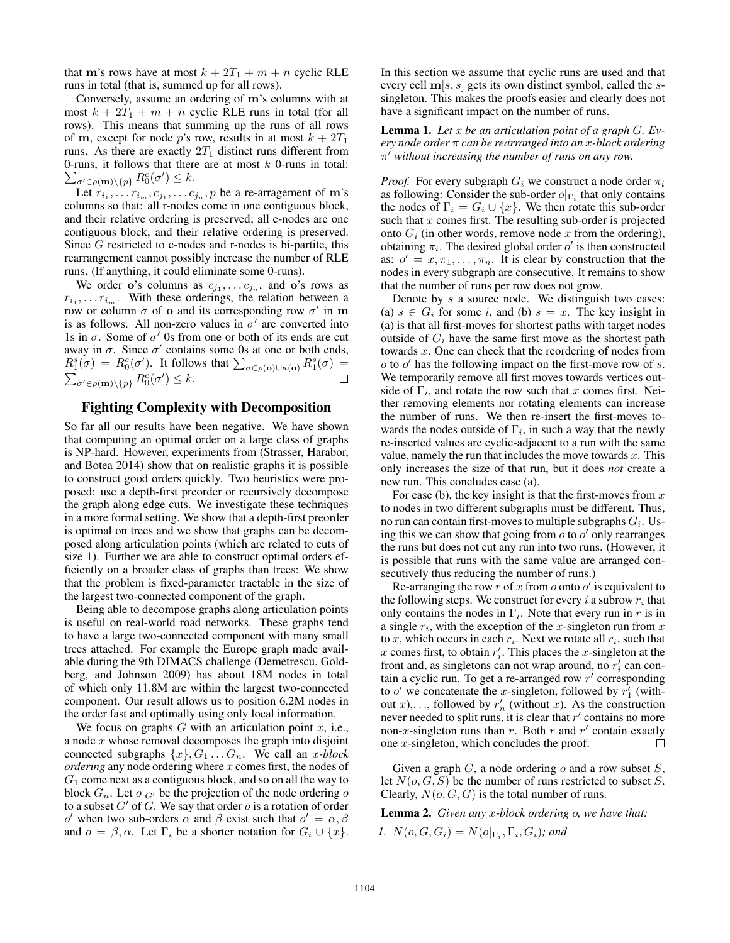that m's rows have at most  $k + 2T_1 + m + n$  cyclic RLE runs in total (that is, summed up for all rows).

Conversely, assume an ordering of m's columns with at most  $k + 2T_1 + m + n$  cyclic RLE runs in total (for all rows). This means that summing up the runs of all rows of m, except for node p's row, results in at most  $k + 2T_1$ runs. As there are exactly  $2T_1$  distinct runs different from  $\sum_{\sigma' \in \rho(\mathbf{m}) \setminus \{p\}} R_0^c(\sigma') \leq k.$ 0-runs, it follows that there are at most  $k$  0-runs in total:

Let  $r_{i_1}, \ldots r_{i_m}, c_{j_1}, \ldots c_{j_n}, p$  be a re-arragement of m's columns so that: all r-nodes come in one contiguous block, and their relative ordering is preserved; all c-nodes are one contiguous block, and their relative ordering is preserved. Since G restricted to c-nodes and r-nodes is bi-partite, this rearrangement cannot possibly increase the number of RLE runs. (If anything, it could eliminate some 0-runs).

We order o's columns as  $c_{j_1}, \ldots c_{j_n}$ , and o's rows as  $r_{i_1}, \ldots r_{i_m}$ . With these orderings, the relation between a row or column  $\sigma$  of o and its corresponding row  $\sigma'$  in m is as follows. All non-zero values in  $\sigma'$  are converted into 1s in  $\sigma$ . Some of  $\sigma'$  0s from one or both of its ends are cut away in  $\sigma$ . Since  $\sigma'$  contains some 0s at one or both ends,  $R_1^s(\sigma) = R_0^c(\sigma')$ . It follows that  $\sum_{\sigma \in \rho(\mathbf{o}) \cup \kappa(\mathbf{o})} R_1^s(\sigma) =$  $\sum_{\sigma' \in \rho(\mathbf{m}) \setminus \{p\}} R_0^c(\sigma') \leq k.$  $\Box$ 

### Fighting Complexity with Decomposition

So far all our results have been negative. We have shown that computing an optimal order on a large class of graphs is NP-hard. However, experiments from (Strasser, Harabor, and Botea 2014) show that on realistic graphs it is possible to construct good orders quickly. Two heuristics were proposed: use a depth-first preorder or recursively decompose the graph along edge cuts. We investigate these techniques in a more formal setting. We show that a depth-first preorder is optimal on trees and we show that graphs can be decomposed along articulation points (which are related to cuts of size 1). Further we are able to construct optimal orders efficiently on a broader class of graphs than trees: We show that the problem is fixed-parameter tractable in the size of the largest two-connected component of the graph.

Being able to decompose graphs along articulation points is useful on real-world road networks. These graphs tend to have a large two-connected component with many small trees attached. For example the Europe graph made available during the 9th DIMACS challenge (Demetrescu, Goldberg, and Johnson 2009) has about 18M nodes in total of which only 11.8M are within the largest two-connected component. Our result allows us to position 6.2M nodes in the order fast and optimally using only local information.

We focus on graphs  $G$  with an articulation point  $x$ , i.e., a node  $x$  whose removal decomposes the graph into disjoint connected subgraphs  $\{x\}$ ,  $G_1$ ...  $G_n$ . We call an x-block *ordering* any node ordering where x comes first, the nodes of  $G_1$  come next as a contiguous block, and so on all the way to block  $G_n$ . Let  $o|_{G'}$  be the projection of the node ordering o to a subset  $G'$  of G. We say that order  $o$  is a rotation of order  $o'$  when two sub-orders  $\alpha$  and  $\beta$  exist such that  $o' = \alpha, \beta$ and  $o = \beta, \alpha$ . Let  $\Gamma_i$  be a shorter notation for  $G_i \cup \{x\}$ .

In this section we assume that cyclic runs are used and that every cell  $m[s, s]$  gets its own distinct symbol, called the ssingleton. This makes the proofs easier and clearly does not have a significant impact on the number of runs.

Lemma 1. *Let* x *be an articulation point of a graph* G*. Every node order* π *can be rearranged into an* x*-block ordering*  $\pi'$  without increasing the number of runs on any row.

*Proof.* For every subgraph  $G_i$  we construct a node order  $\pi_i$ as following: Consider the sub-order  $o|_{\Gamma_i}$  that only contains the nodes of  $\Gamma_i = G_i \cup \{x\}$ . We then rotate this sub-order such that  $x$  comes first. The resulting sub-order is projected onto  $G_i$  (in other words, remove node x from the ordering), obtaining  $\pi_i$ . The desired global order  $o'$  is then constructed as:  $o' = x, \pi_1, \ldots, \pi_n$ . It is clear by construction that the nodes in every subgraph are consecutive. It remains to show that the number of runs per row does not grow.

Denote by s a source node. We distinguish two cases: (a)  $s \in G_i$  for some i, and (b)  $s = x$ . The key insight in (a) is that all first-moves for shortest paths with target nodes outside of  $G_i$  have the same first move as the shortest path towards x. One can check that the reordering of nodes from  $o$  to  $o'$  has the following impact on the first-move row of  $s$ . We temporarily remove all first moves towards vertices outside of  $\Gamma_i$ , and rotate the row such that x comes first. Neither removing elements nor rotating elements can increase the number of runs. We then re-insert the first-moves towards the nodes outside of  $\Gamma_i$ , in such a way that the newly re-inserted values are cyclic-adjacent to a run with the same value, namely the run that includes the move towards  $x$ . This only increases the size of that run, but it does *not* create a new run. This concludes case (a).

For case (b), the key insight is that the first-moves from  $x$ to nodes in two different subgraphs must be different. Thus, no run can contain first-moves to multiple subgraphs  $G_i$ . Using this we can show that going from  $\overline{o}$  to  $o'$  only rearranges the runs but does not cut any run into two runs. (However, it is possible that runs with the same value are arranged consecutively thus reducing the number of runs.)

Re-arranging the row r of x from o onto o' is equivalent to the following steps. We construct for every i a subrow  $r_i$  that only contains the nodes in  $\Gamma_i$ . Note that every run in r is in a single  $r_i$ , with the exception of the x-singleton run from x to x, which occurs in each  $r_i$ . Next we rotate all  $r_i$ , such that x comes first, to obtain  $r'_i$ . This places the x-singleton at the front and, as singletons can not wrap around, no  $r_i'$  can contain a cyclic run. To get a re-arranged row  $r'$  corresponding to o' we concatenate the x-singleton, followed by  $r_1^{\gamma}$  (without x,  $\ldots$ , followed by  $r'_n$  (without x). As the construction never needed to split runs, it is clear that  $r'$  contains no more non-x-singleton runs than r. Both r and r' contain exactly one x-singleton, which concludes the proof.  $\Box$ 

Given a graph  $G$ , a node ordering  $o$  and a row subset  $S$ , let  $N(o, G, S)$  be the number of runs restricted to subset S. Clearly,  $N(o, G, G)$  is the total number of runs.

Lemma 2. *Given any* x*-block ordering* o*, we have that:*

*1.*  $N(o, G, G_i) = N(o|_{\Gamma_i}, \Gamma_i, G_i)$ ; and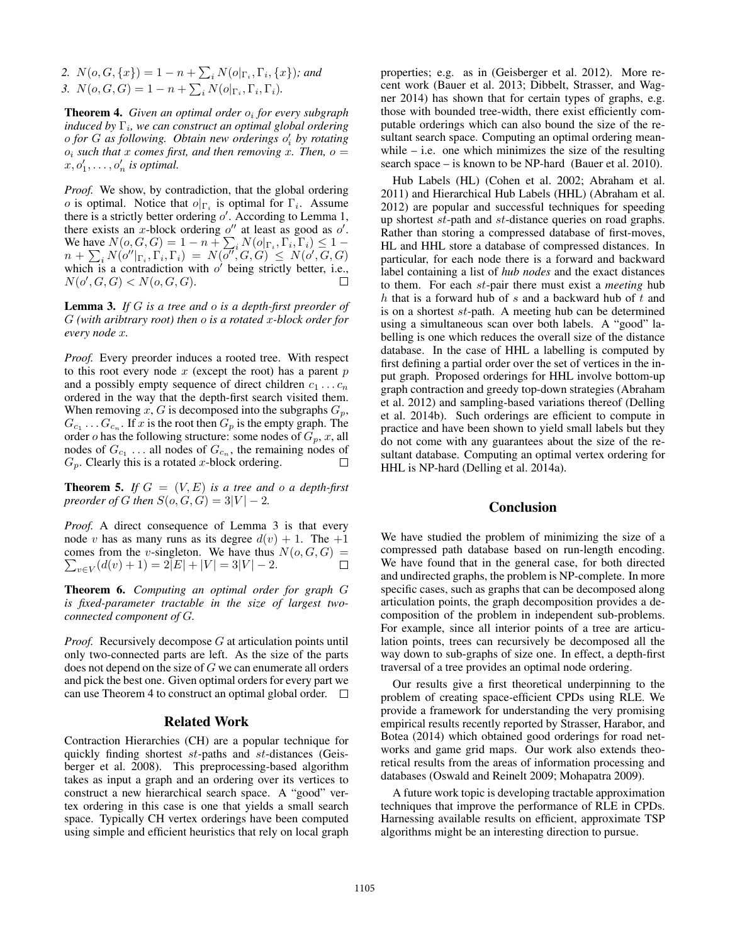2.  $N(o, G, \{x\}) = 1 - n + \sum_i N(o|_{\Gamma_i}, \Gamma_i, \{x\})$ *; and* 3.  $N(o, G, G) = 1 - n + \sum_i N(o|_{\Gamma_i}, \Gamma_i, \Gamma_i)$ .

Theorem 4. *Given an optimal order* o<sup>i</sup> *for every subgraph induced by* Γ<sub>*i</sub>, we can construct an optimal global ordering*</sub> o *for* G *as following. Obtain new orderings* o 0 i *by rotating*  $o_i$  *such that* x *comes first, and then removing* x. Then,  $o =$  $x, o'_1, \ldots, o'_n$  is optimal.

*Proof.* We show, by contradiction, that the global ordering *o* is optimal. Notice that  $o|_{\Gamma_i}$  is optimal for  $\Gamma_i$ . Assume there is a strictly better ordering  $o'$ . According to Lemma 1, there exists an x-block ordering  $o''$  at least as good as  $o'$ . We have  $N(o, G, G) = 1 - n + \sum_i N(o|_{\Gamma_i}, \Gamma_i, \Gamma_i) \leq 1$  $n + \sum_i N(o''|_{\Gamma_i}, \Gamma_i, \Gamma_i) = N(\overline{o''}, G, G) \le N(o', G, G)$ which is a contradiction with  $o'$  being strictly better, i.e.,  $N(o', G, G) < N(o, G, G).$ П

Lemma 3. *If* G *is a tree and* o *is a depth-first preorder of* G *(with aribtrary root) then* o *is a rotated* x*-block order for every node* x*.*

*Proof.* Every preorder induces a rooted tree. With respect to this root every node  $x$  (except the root) has a parent  $p$ and a possibly empty sequence of direct children  $c_1 \ldots c_n$ ordered in the way that the depth-first search visited them. When removing x, G is decomposed into the subgraphs  $G_p$ ,  $G_{c_1} \ldots G_{c_n}$ . If x is the root then  $G_p$  is the empty graph. The order o has the following structure: some nodes of  $G_p$ , x, all nodes of  $G_{c_1}$ ... all nodes of  $G_{c_n}$ , the remaining nodes of  $G_p$ . Clearly this is a rotated x-block ordering.  $\Box$ 

**Theorem 5.** If  $G = (V, E)$  is a tree and o a depth-first *preorder of* G *then*  $S(o, G, G) = 3|V| - 2$ *.* 

*Proof.* A direct consequence of Lemma 3 is that every node v has as many runs as its degree  $d(v) + 1$ . The  $+1$ comes from the v-singleton. We have thus  $N(o, G, G)$  =  $\sum_{v \in V} (d(v) + 1) = 2|E| + |V| = 3|V| - 2.$  $\Box$ 

Theorem 6. *Computing an optimal order for graph* G *is fixed-parameter tractable in the size of largest twoconnected component of* G*.*

*Proof.* Recursively decompose G at articulation points until only two-connected parts are left. As the size of the parts does not depend on the size of G we can enumerate all orders and pick the best one. Given optimal orders for every part we can use Theorem 4 to construct an optimal global order.  $\Box$ 

#### Related Work

Contraction Hierarchies (CH) are a popular technique for quickly finding shortest st-paths and st-distances (Geisberger et al. 2008). This preprocessing-based algorithm takes as input a graph and an ordering over its vertices to construct a new hierarchical search space. A "good" vertex ordering in this case is one that yields a small search space. Typically CH vertex orderings have been computed using simple and efficient heuristics that rely on local graph properties; e.g. as in (Geisberger et al. 2012). More recent work (Bauer et al. 2013; Dibbelt, Strasser, and Wagner 2014) has shown that for certain types of graphs, e.g. those with bounded tree-width, there exist efficiently computable orderings which can also bound the size of the resultant search space. Computing an optimal ordering meanwhile  $-$  i.e. one which minimizes the size of the resulting search space – is known to be NP-hard (Bauer et al. 2010).

Hub Labels (HL) (Cohen et al. 2002; Abraham et al. 2011) and Hierarchical Hub Labels (HHL) (Abraham et al. 2012) are popular and successful techniques for speeding up shortest st-path and st-distance queries on road graphs. Rather than storing a compressed database of first-moves, HL and HHL store a database of compressed distances. In particular, for each node there is a forward and backward label containing a list of *hub nodes* and the exact distances to them. For each st-pair there must exist a *meeting* hub h that is a forward hub of s and a backward hub of t and is on a shortest st-path. A meeting hub can be determined using a simultaneous scan over both labels. A "good" labelling is one which reduces the overall size of the distance database. In the case of HHL a labelling is computed by first defining a partial order over the set of vertices in the input graph. Proposed orderings for HHL involve bottom-up graph contraction and greedy top-down strategies (Abraham et al. 2012) and sampling-based variations thereof (Delling et al. 2014b). Such orderings are efficient to compute in practice and have been shown to yield small labels but they do not come with any guarantees about the size of the resultant database. Computing an optimal vertex ordering for HHL is NP-hard (Delling et al. 2014a).

# Conclusion

We have studied the problem of minimizing the size of a compressed path database based on run-length encoding. We have found that in the general case, for both directed and undirected graphs, the problem is NP-complete. In more specific cases, such as graphs that can be decomposed along articulation points, the graph decomposition provides a decomposition of the problem in independent sub-problems. For example, since all interior points of a tree are articulation points, trees can recursively be decomposed all the way down to sub-graphs of size one. In effect, a depth-first traversal of a tree provides an optimal node ordering.

Our results give a first theoretical underpinning to the problem of creating space-efficient CPDs using RLE. We provide a framework for understanding the very promising empirical results recently reported by Strasser, Harabor, and Botea (2014) which obtained good orderings for road networks and game grid maps. Our work also extends theoretical results from the areas of information processing and databases (Oswald and Reinelt 2009; Mohapatra 2009).

A future work topic is developing tractable approximation techniques that improve the performance of RLE in CPDs. Harnessing available results on efficient, approximate TSP algorithms might be an interesting direction to pursue.